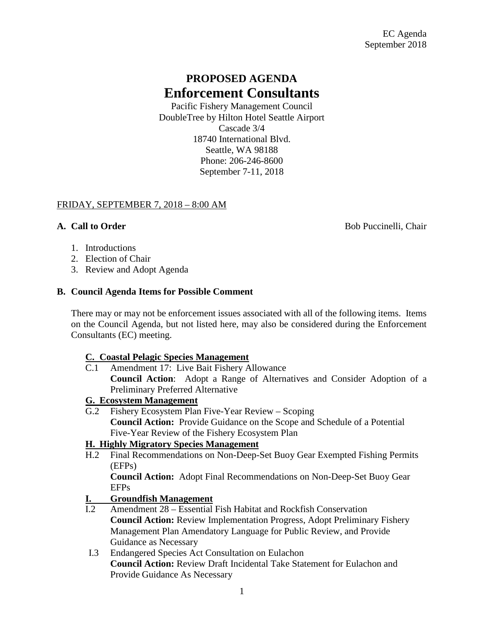# **PROPOSED AGENDA Enforcement Consultants**

Pacific Fishery Management Council DoubleTree by Hilton Hotel Seattle Airport Cascade 3/4 18740 International Blvd. Seattle, WA 98188 Phone: 206-246-8600 September 7-11, 2018

## FRIDAY, SEPTEMBER 7, 2018 – 8:00 AM

**A. Call to Order** Bob Puccinelli, Chair

- 1. Introductions
- 2. Election of Chair
- 3. Review and Adopt Agenda

## **B. Council Agenda Items for Possible Comment**

There may or may not be enforcement issues associated with all of the following items. Items on the Council Agenda, but not listed here, may also be considered during the Enforcement Consultants (EC) meeting.

#### **C. Coastal Pelagic Species Management**

C.1 Amendment 17: Live Bait Fishery Allowance **Council Action**: Adopt a Range of Alternatives and Consider Adoption of a Preliminary Preferred Alternative

## **G. Ecosystem Management**

G.2 Fishery Ecosystem Plan Five-Year Review – Scoping **Council Action:** Provide Guidance on the Scope and Schedule of a Potential Five-Year Review of the Fishery Ecosystem Plan

## **H. Highly Migratory Species Management**

H.2 Final Recommendations on Non-Deep-Set Buoy Gear Exempted Fishing Permits (EFPs)

**Council Action:** Adopt Final Recommendations on Non-Deep-Set Buoy Gear EFPs

## **I. Groundfish Management**

- I.2 Amendment 28 Essential Fish Habitat and Rockfish Conservation **Council Action:** Review Implementation Progress, Adopt Preliminary Fishery Management Plan Amendatory Language for Public Review, and Provide Guidance as Necessary
- I.3 Endangered Species Act Consultation on Eulachon **Council Action:** Review Draft Incidental Take Statement for Eulachon and Provide Guidance As Necessary